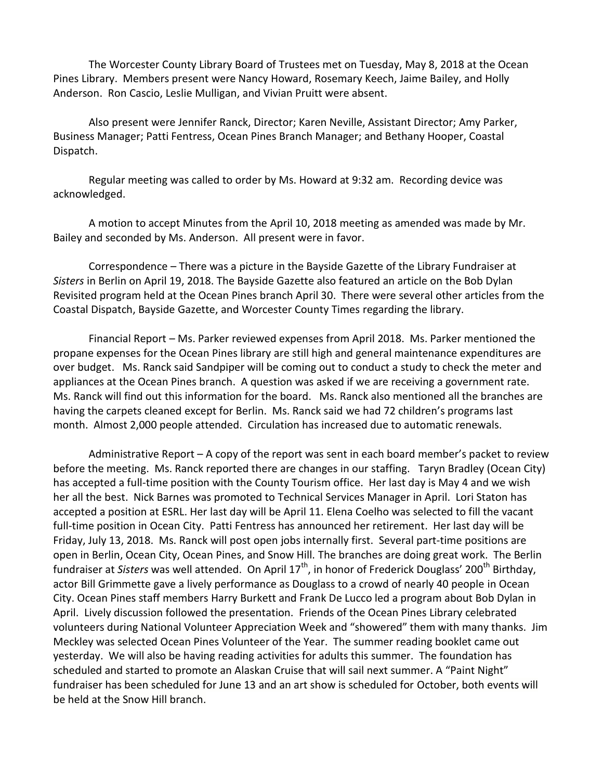The Worcester County Library Board of Trustees met on Tuesday, May 8, 2018 at the Ocean Pines Library. Members present were Nancy Howard, Rosemary Keech, Jaime Bailey, and Holly Anderson. Ron Cascio, Leslie Mulligan, and Vivian Pruitt were absent.

Also present were Jennifer Ranck, Director; Karen Neville, Assistant Director; Amy Parker, Business Manager; Patti Fentress, Ocean Pines Branch Manager; and Bethany Hooper, Coastal Dispatch.

Regular meeting was called to order by Ms. Howard at 9:32 am. Recording device was acknowledged.

A motion to accept Minutes from the April 10, 2018 meeting as amended was made by Mr. Bailey and seconded by Ms. Anderson. All present were in favor.

Correspondence – There was a picture in the Bayside Gazette of the Library Fundraiser at *Sisters* in Berlin on April 19, 2018. The Bayside Gazette also featured an article on the Bob Dylan Revisited program held at the Ocean Pines branch April 30. There were several other articles from the Coastal Dispatch, Bayside Gazette, and Worcester County Times regarding the library.

Financial Report – Ms. Parker reviewed expenses from April 2018. Ms. Parker mentioned the propane expenses for the Ocean Pines library are still high and general maintenance expenditures are over budget. Ms. Ranck said Sandpiper will be coming out to conduct a study to check the meter and appliances at the Ocean Pines branch. A question was asked if we are receiving a government rate. Ms. Ranck will find out this information for the board. Ms. Ranck also mentioned all the branches are having the carpets cleaned except for Berlin. Ms. Ranck said we had 72 children's programs last month. Almost 2,000 people attended. Circulation has increased due to automatic renewals.

Administrative Report – A copy of the report was sent in each board member's packet to review before the meeting. Ms. Ranck reported there are changes in our staffing. Taryn Bradley (Ocean City) has accepted a full-time position with the County Tourism office. Her last day is May 4 and we wish her all the best. Nick Barnes was promoted to Technical Services Manager in April. Lori Staton has accepted a position at ESRL. Her last day will be April 11. Elena Coelho was selected to fill the vacant full-time position in Ocean City. Patti Fentress has announced her retirement. Her last day will be Friday, July 13, 2018. Ms. Ranck will post open jobs internally first. Several part-time positions are open in Berlin, Ocean City, Ocean Pines, and Snow Hill. The branches are doing great work. The Berlin fundraiser at *Sisters* was well attended. On April 17<sup>th</sup>, in honor of Frederick Douglass' 200<sup>th</sup> Birthday, actor Bill Grimmette gave a lively performance as Douglass to a crowd of nearly 40 people in Ocean City. Ocean Pines staff members Harry Burkett and Frank De Lucco led a program about Bob Dylan in April. Lively discussion followed the presentation. Friends of the Ocean Pines Library celebrated volunteers during National Volunteer Appreciation Week and "showered" them with many thanks. Jim Meckley was selected Ocean Pines Volunteer of the Year. The summer reading booklet came out yesterday. We will also be having reading activities for adults this summer. The foundation has scheduled and started to promote an Alaskan Cruise that will sail next summer. A "Paint Night" fundraiser has been scheduled for June 13 and an art show is scheduled for October, both events will be held at the Snow Hill branch.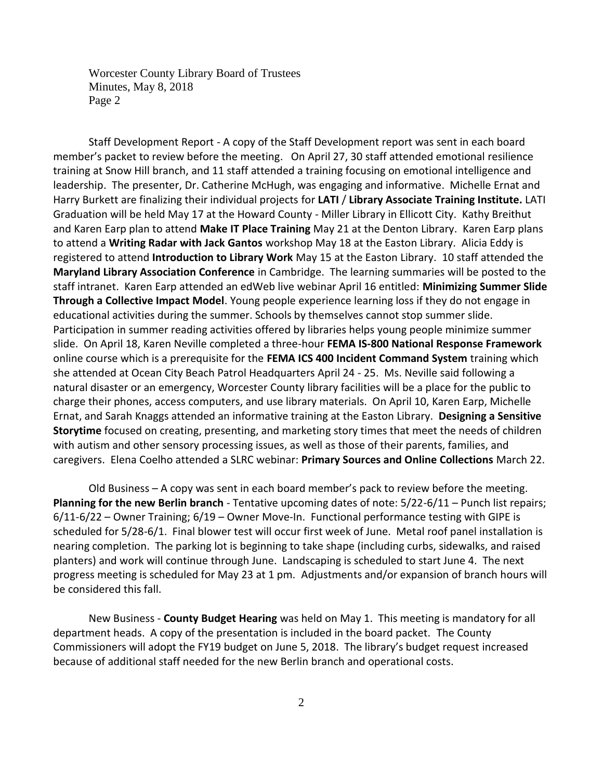Worcester County Library Board of Trustees Minutes, May 8, 2018 Page 2

Staff Development Report - A copy of the Staff Development report was sent in each board member's packet to review before the meeting. On April 27, 30 staff attended emotional resilience training at Snow Hill branch, and 11 staff attended a training focusing on emotional intelligence and leadership. The presenter, Dr. Catherine McHugh, was engaging and informative. Michelle Ernat and Harry Burkett are finalizing their individual projects for **LATI** / **Library Associate Training Institute.** LATI Graduation will be held May 17 at the Howard County - Miller Library in Ellicott City. Kathy Breithut and Karen Earp plan to attend **Make IT Place Training** May 21 at the Denton Library. Karen Earp plans to attend a **Writing Radar with Jack Gantos** workshop May 18 at the Easton Library. Alicia Eddy is registered to attend **Introduction to Library Work** May 15 at the Easton Library. 10 staff attended the **Maryland Library Association Conference** in Cambridge. The learning summaries will be posted to the staff intranet. Karen Earp attended an edWeb live webinar April 16 entitled: **Minimizing Summer Slide Through a Collective Impact Model**. Young people experience learning loss if they do not engage in educational activities during the summer. Schools by themselves cannot stop summer slide. Participation in summer reading activities offered by libraries helps young people minimize summer slide. On April 18, Karen Neville completed a three-hour **FEMA IS-800 National Response Framework** online course which is a prerequisite for the **FEMA ICS 400 Incident Command System** training which she attended at Ocean City Beach Patrol Headquarters April 24 - 25. Ms. Neville said following a natural disaster or an emergency, Worcester County library facilities will be a place for the public to charge their phones, access computers, and use library materials. On April 10, Karen Earp, Michelle Ernat, and Sarah Knaggs attended an informative training at the Easton Library. **Designing a Sensitive Storytime** focused on creating, presenting, and marketing story times that meet the needs of children with autism and other sensory processing issues, as well as those of their parents, families, and caregivers. Elena Coelho attended a SLRC webinar: **Primary Sources and Online Collections** March 22.

Old Business – A copy was sent in each board member's pack to review before the meeting. **Planning for the new Berlin branch** - Tentative upcoming dates of note: 5/22-6/11 – Punch list repairs; 6/11-6/22 – Owner Training; 6/19 – Owner Move-In. Functional performance testing with GIPE is scheduled for 5/28-6/1. Final blower test will occur first week of June. Metal roof panel installation is nearing completion. The parking lot is beginning to take shape (including curbs, sidewalks, and raised planters) and work will continue through June. Landscaping is scheduled to start June 4. The next progress meeting is scheduled for May 23 at 1 pm. Adjustments and/or expansion of branch hours will be considered this fall.

New Business - **County Budget Hearing** was held on May 1. This meeting is mandatory for all department heads. A copy of the presentation is included in the board packet. The County Commissioners will adopt the FY19 budget on June 5, 2018. The library's budget request increased because of additional staff needed for the new Berlin branch and operational costs.